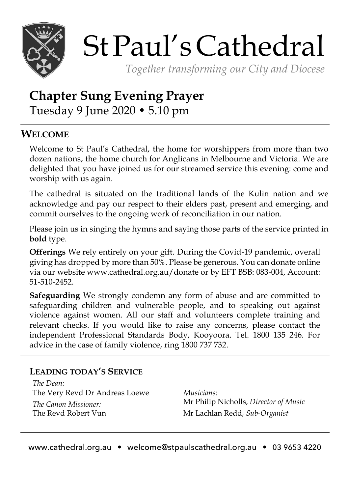

# StPaul'sCathedral

*Together transforming our City and Diocese*

# **Chapter Sung Evening Prayer** Tuesday 9 June 2020 • 5.10 pm

## **WELCOME**

Welcome to St Paul's Cathedral, the home for worshippers from more than two dozen nations, the home church for Anglicans in Melbourne and Victoria. We are delighted that you have joined us for our streamed service this evening: come and worship with us again.

The cathedral is situated on the traditional lands of the Kulin nation and we acknowledge and pay our respect to their elders past, present and emerging, and commit ourselves to the ongoing work of reconciliation in our nation.

Please join us in singing the hymns and saying those parts of the service printed in **bold** type.

**Offerings** We rely entirely on your gift. During the Covid-19 pandemic, overall giving has dropped by more than 50%. Please be generous. You can donate online via our website www.cathedral.org.au/donate or by EFT BSB: 083-004, Account: 51-510-2452.

**Safeguarding** We strongly condemn any form of abuse and are committed to safeguarding children and vulnerable people, and to speaking out against violence against women. All our staff and volunteers complete training and relevant checks. If you would like to raise any concerns, please contact the independent Professional Standards Body, Kooyoora. Tel. 1800 135 246. For advice in the case of family violence, ring 1800 737 732.

### **LEADING TODAY'S SERVICE**

*The Dean:* The Very Revd Dr Andreas Loewe *The Canon Missioner:* The Revd Robert Vun

*Musicians:* Mr Philip Nicholls, *Director of Music* Mr Lachlan Redd, *Sub-Organist*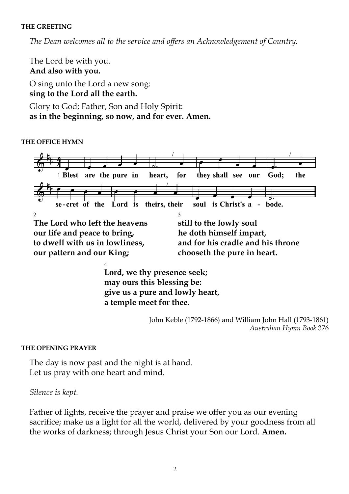#### **THE GREETING**

*The Dean welcomes all to the service and offers an Acknowledgement of Country.*

The Lord be with you. **And also with you.**  O sing unto the Lord a new song: **sing to the Lord all the earth.** Glory to God; Father, Son and Holy Spirit:

**as in the beginning, so now, and for ever. Amen.**

**THE OFFICE HYMN**



4 **Lord, we thy presence seek; may ours this blessing be: give us a pure and lowly heart, a temple meet for thee.**

> John Keble (1792-1866) and William John Hall (1793-1861) *Australian Hymn Book* 376

**THE OPENING PRAYER**

The day is now past and the night is at hand. Let us pray with one heart and mind.

*Silence is kept.*

Father of lights, receive the prayer and praise we offer you as our evening sacrifice; make us a light for all the world, delivered by your goodness from all the works of darkness; through Jesus Christ your Son our Lord. **Amen.**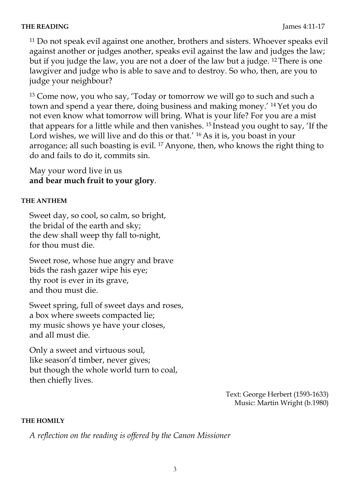#### **THE READING** James 4:11-17

<sup>11</sup> Do not speak evil against one another, brothers and sisters. Whoever speaks evil against another or judges another, speaks evil against the law and judges the law; but if you judge the law, you are not a doer of the law but a judge. <sup>12</sup> There is one lawgiver and judge who is able to save and to destroy. So who, then, are you to judge your neighbour?

<sup>13</sup> Come now, you who say, 'Today or tomorrow we will go to such and such a town and spend a year there, doing business and making money.' <sup>14</sup> Yet you do not even know what tomorrow will bring. What is your life? For you are a mist that appears for a little while and then vanishes. <sup>15</sup> Instead you ought to say, 'If the Lord wishes, we will live and do this or that.' <sup>16</sup> As it is, you boast in your arrogance; all such boasting is evil. <sup>17</sup> Anyone, then, who knows the right thing to do and fails to do it, commits sin.

May your word live in us **and bear much fruit to your glory**.

#### **THE ANTHEM**

Sweet day, so cool, so calm, so bright, the bridal of the earth and sky; the dew shall weep thy fall to-night, for thou must die.

Sweet rose, whose hue angry and brave bids the rash gazer wipe his eye; thy root is ever in its grave, and thou must die.

Sweet spring, full of sweet days and roses, a box where sweets compacted lie; my music shows ye have your closes, and all must die.

Only a sweet and virtuous soul, like season'd timber, never gives; but though the whole world turn to coal, then chiefly lives.

> Text: George Herbert (1593-1633) Music: Martin Wright (b.1980)

#### **THE HOMILY**

*A reflection on the reading is offered by the Canon Missioner*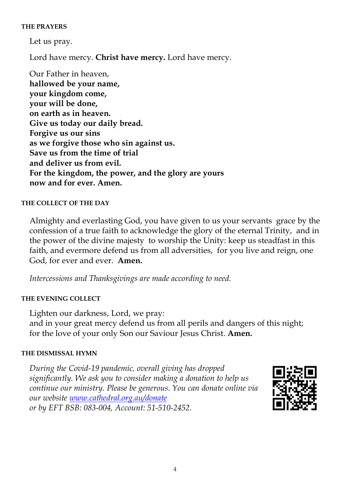#### **THE PRAYERS**

Let us pray.

Lord have mercy. **Christ have mercy.** Lord have mercy.

Our Father in heaven, **hallowed be your name, your kingdom come, your will be done, on earth as in heaven. Give us today our daily bread. Forgive us our sins as we forgive those who sin against us. Save us from the time of trial and deliver us from evil. For the kingdom, the power, and the glory are yours now and for ever. Amen.** 

#### **THE COLLECT OF THE DAY**

Almighty and everlasting God, you have given to us your servants grace by the confession of a true faith to acknowledge the glory of the eternal Trinity, and in the power of the divine majesty to worship the Unity: keep us steadfast in this faith, and evermore defend us from all adversities, for you live and reign, one God, for ever and ever. **Amen.**

*Intercessions and Thanksgivings are made according to need.*

#### **THE EVENING COLLECT**

Lighten our darkness, Lord, we pray: and in your great mercy defend us from all perils and dangers of this night; for the love of your only Son our Saviour Jesus Christ. **Amen.**

#### **THE DISMISSAL HYMN**

*During the Covid-19 pandemic, overall giving has dropped significantly. We ask you to consider making a donation to help us continue our ministry. Please be generous. You can donate online via our website www.cathedral.org.au/donate or by EFT BSB: 083-004, Account: 51-510-2452.*